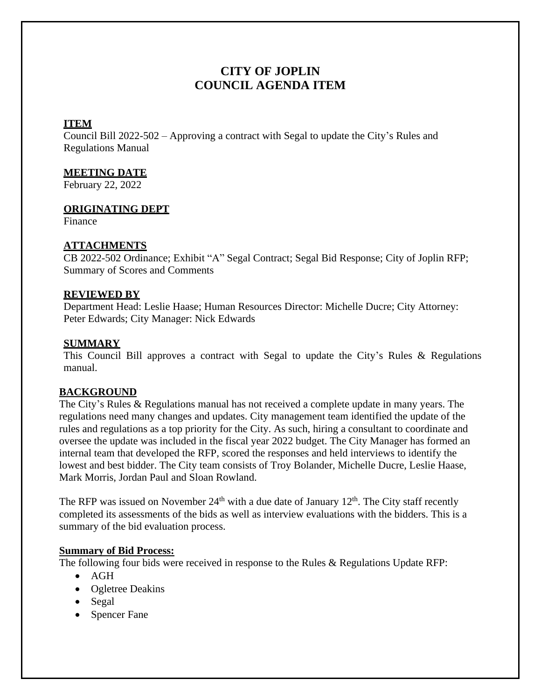# **CITY OF JOPLIN COUNCIL AGENDA ITEM**

## **ITEM**

Council Bill 2022-502 – Approving a contract with Segal to update the City's Rules and Regulations Manual

## **MEETING DATE**

February 22, 2022

## **ORIGINATING DEPT**

Finance

## **ATTACHMENTS**

CB 2022-502 Ordinance; Exhibit "A" Segal Contract; Segal Bid Response; City of Joplin RFP; Summary of Scores and Comments

## **REVIEWED BY**

Department Head: Leslie Haase; Human Resources Director: Michelle Ducre; City Attorney: Peter Edwards; City Manager: Nick Edwards

## **SUMMARY**

This Council Bill approves a contract with Segal to update the City's Rules & Regulations manual.

## **BACKGROUND**

The City's Rules & Regulations manual has not received a complete update in many years. The regulations need many changes and updates. City management team identified the update of the rules and regulations as a top priority for the City. As such, hiring a consultant to coordinate and oversee the update was included in the fiscal year 2022 budget. The City Manager has formed an internal team that developed the RFP, scored the responses and held interviews to identify the lowest and best bidder. The City team consists of Troy Bolander, Michelle Ducre, Leslie Haase, Mark Morris, Jordan Paul and Sloan Rowland.

The RFP was issued on November  $24<sup>th</sup>$  with a due date of January  $12<sup>th</sup>$ . The City staff recently completed its assessments of the bids as well as interview evaluations with the bidders. This is a summary of the bid evaluation process.

## **Summary of Bid Process:**

The following four bids were received in response to the Rules & Regulations Update RFP:

- AGH
- Ogletree Deakins
- Segal
- Spencer Fane